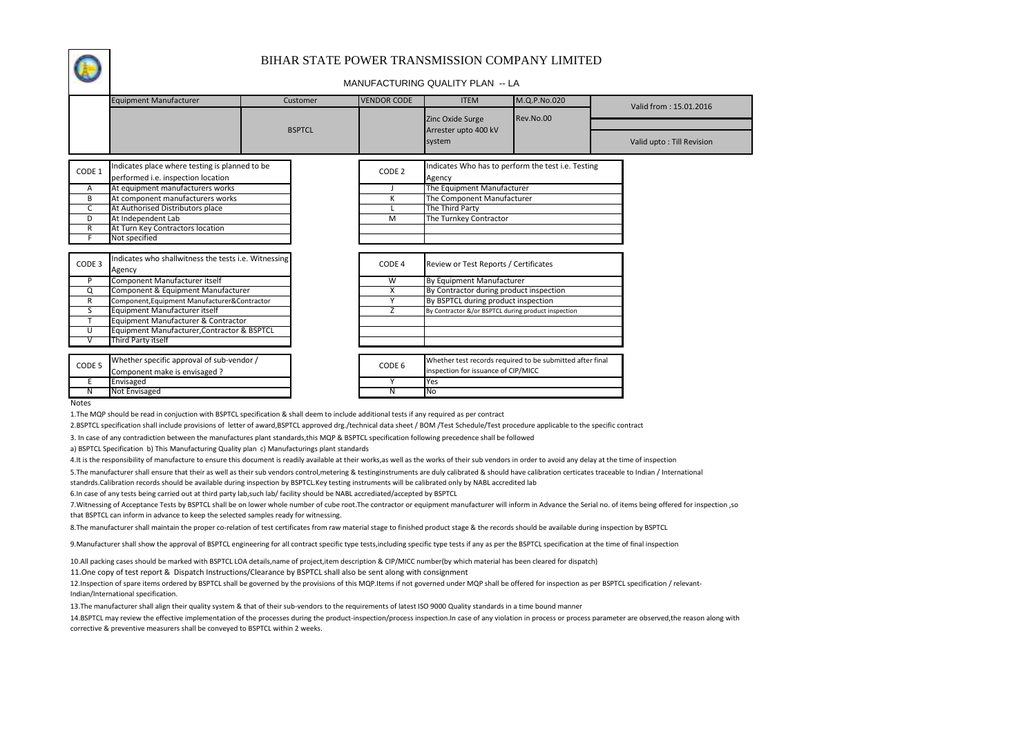

## BIHAR STATE POWER TRANSMISSION COMPANY LIMITED

## MANUFACTURING QUALITY PLAN -- LA

|                   | <b>Equipment Manufacturer</b>                                                        | Customer      | <b>VENDOR CODE</b> | <b>ITEM</b>                                                  | M.Q.P.No.020 | Valid from: 15.01.2016    |
|-------------------|--------------------------------------------------------------------------------------|---------------|--------------------|--------------------------------------------------------------|--------------|---------------------------|
|                   |                                                                                      |               |                    | Zinc Oxide Surge                                             | Rev.No.00    |                           |
|                   |                                                                                      | <b>BSPTCL</b> |                    | Arrester upto 400 kV<br>system                               |              | Valid upto: Till Revision |
| CODE 1            | Indicates place where testing is planned to be<br>performed i.e. inspection location |               | CODE <sub>2</sub>  | Indicates Who has to perform the test i.e. Testing<br>Agency |              |                           |
| Α                 | At equipment manufacturers works                                                     |               |                    | The Equipment Manufacturer                                   |              |                           |
| B                 | At component manufacturers works                                                     |               | K                  | The Component Manufacturer                                   |              |                           |
| C                 | At Authorised Distributors place                                                     |               |                    | The Third Party                                              |              |                           |
| D                 | At Independent Lab                                                                   |               | M                  | The Turnkey Contractor                                       |              |                           |
| R                 | At Turn Key Contractors location                                                     |               |                    |                                                              |              |                           |
|                   | Not specified                                                                        |               |                    |                                                              |              |                           |
| CODE 3            | Indicates who shallwitness the tests i.e. Witnessing<br>Agency                       |               | CODE 4             | Review or Test Reports / Certificates                        |              |                           |
| P                 | Component Manufacturer itself                                                        |               | W                  | By Equipment Manufacturer                                    |              |                           |
| Q                 | Component & Equipment Manufacturer                                                   |               | X                  | By Contractor during product inspection                      |              |                           |
| R                 | Component, Equipment Manufacturer & Contractor                                       |               | Υ                  | By BSPTCL during product inspection                          |              |                           |
| S                 | Equipment Manufacturer itself                                                        |               | Z                  | By Contractor &/or BSPTCL during product inspection          |              |                           |
|                   | Equipment Manufacturer & Contractor                                                  |               |                    |                                                              |              |                           |
| U                 | Equipment Manufacturer, Contractor & BSPTCL                                          |               |                    |                                                              |              |                           |
|                   | Third Party itself                                                                   |               |                    |                                                              |              |                           |
|                   |                                                                                      |               |                    |                                                              |              |                           |
| CODE <sub>5</sub> | Whether specific approval of sub-vendor /                                            |               | CODE 6             | Whether test records required to be submitted after final    |              |                           |
|                   | Component make is envisaged ?                                                        |               |                    | inspection for issuance of CIP/MICC                          |              |                           |
|                   | Envisaged                                                                            |               |                    | Yes                                                          |              |                           |
| Ν                 | <b>Not Envisaged</b>                                                                 |               | N                  | No                                                           |              |                           |

**Notes** 

1.The MQP should be read in conjuction with BSPTCL specification & shall deem to include additional tests if any required as per contract

2.BSPTCL specification shall include provisions of letter of award,BSPTCL approved drg./technical data sheet / BOM /Test Schedule/Test procedure applicable to the specific contract

3. In case of any contradiction between the manufactures plant standards,this MQP & BSPTCL specification following precedence shall be followed

a) BSPTCL Specification b) This Manufacturing Quality plan c) Manufacturings plant standards

4.It is the responsibility of manufacture to ensure this document is readily available at their works,as well as the works of their sub vendors in order to avoid any delay at the time of inspection

5.The manufacturer shall ensure that their as well as their sub vendors control,metering & testinginstruments are duly calibrated & should have calibration certicates traceable to Indian / International

standrds.Calibration records should be available during inspection by BSPTCL.Key testing instruments will be calibrated only by NABL accredited lab

6.In case of any tests being carried out at third party lab,such lab/ facility should be NABL accrediated/accepted by BSPTCL

7.Witnessing of Acceptance Tests by BSPTCL shall be on lower whole number of cube root.The contractor or equipment manufacturer will inform in Advance the Serial no. of items being offered for inspection ,so that BSPTCL can inform in advance to keep the selected samples ready for witnessing.

8.The manufacturer shall maintain the proper co-relation of test certificates from raw material stage to finished product stage & the records should be available during inspection by BSPTCL

9.Manufacturer shall show the approval of BSPTCL engineering for all contract specific type tests,including specific type tests if any as per the BSPTCL specification at the time of final inspection

10.All packing cases should be marked with BSPTCL LOA details,name of project,item description & CIP/MICC number(by which material has been cleared for dispatch)

11.One copy of test report & Dispatch Instructions/Clearance by BSPTCL shall also be sent along with consignment

12.Inspection of spare items ordered by BSPTCL shall be governed by the provisions of this MQP.Items if not governed under MQP shall be offered for inspection as per BSPTCL specification / relevant-Indian/International specification.

13.The manufacturer shall align their quality system & that of their sub-vendors to the requirements of latest ISO 9000 Quality standards in a time bound manner

14.BSPTCL may review the effective implementation of the processes during the product-inspection/process inspection.In case of any violation in process or process parameter are observed, the reason along with corrective & preventive measurers shall be conveyed to BSPTCL within 2 weeks.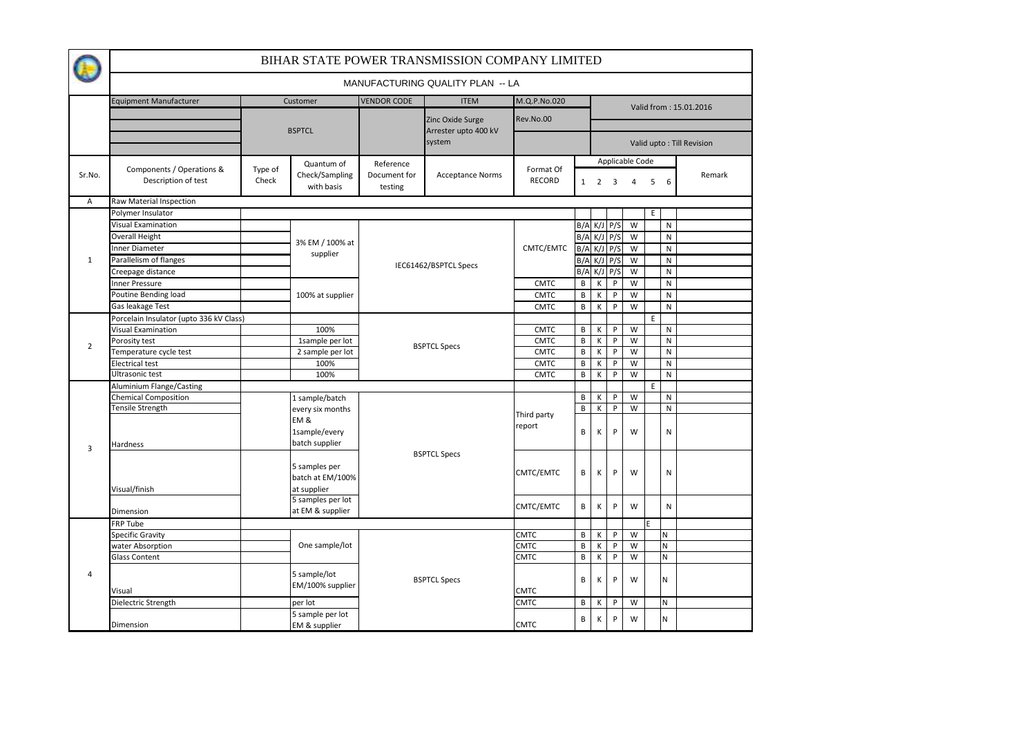| MANUFACTURING QUALITY PLAN -- LA<br><b>VENDOR CODE</b><br>M.Q.P.No.020<br><b>Equipment Manufacturer</b><br>Customer<br><b>ITEM</b><br>Rev.No.00<br>Zinc Oxide Surge<br><b>BSPTCL</b><br>Arrester upto 400 kV<br>system<br>Valid upto: Till Revision<br>Applicable Code<br>Quantum of<br>Reference<br>Components / Operations &<br>Format Of<br>Type of<br>Check/Sampling<br>Sr.No.<br>Document for<br><b>Acceptance Norms</b><br>Description of test<br><b>RECORD</b><br>Check<br>$1 \quad 2 \quad 3$<br>$\overline{4}$<br>5 <sup>5</sup><br>6<br>with basis<br>testing<br>Raw Material Inspection<br>$\mathsf{A}$<br>Polymer Insulator<br>E<br><b>Visual Examination</b><br>$B/A$ K/J $P/S$<br>W<br>N<br>$B/A$ K/J $P/S$<br>W<br>Overall Height<br>N<br>3% EM / 100% at |                        |  |  |  |  |  |  |  |  |  |  |
|--------------------------------------------------------------------------------------------------------------------------------------------------------------------------------------------------------------------------------------------------------------------------------------------------------------------------------------------------------------------------------------------------------------------------------------------------------------------------------------------------------------------------------------------------------------------------------------------------------------------------------------------------------------------------------------------------------------------------------------------------------------------------|------------------------|--|--|--|--|--|--|--|--|--|--|
|                                                                                                                                                                                                                                                                                                                                                                                                                                                                                                                                                                                                                                                                                                                                                                          |                        |  |  |  |  |  |  |  |  |  |  |
|                                                                                                                                                                                                                                                                                                                                                                                                                                                                                                                                                                                                                                                                                                                                                                          | Valid from: 15.01.2016 |  |  |  |  |  |  |  |  |  |  |
|                                                                                                                                                                                                                                                                                                                                                                                                                                                                                                                                                                                                                                                                                                                                                                          |                        |  |  |  |  |  |  |  |  |  |  |
|                                                                                                                                                                                                                                                                                                                                                                                                                                                                                                                                                                                                                                                                                                                                                                          |                        |  |  |  |  |  |  |  |  |  |  |
|                                                                                                                                                                                                                                                                                                                                                                                                                                                                                                                                                                                                                                                                                                                                                                          | Remark                 |  |  |  |  |  |  |  |  |  |  |
|                                                                                                                                                                                                                                                                                                                                                                                                                                                                                                                                                                                                                                                                                                                                                                          |                        |  |  |  |  |  |  |  |  |  |  |
|                                                                                                                                                                                                                                                                                                                                                                                                                                                                                                                                                                                                                                                                                                                                                                          |                        |  |  |  |  |  |  |  |  |  |  |
|                                                                                                                                                                                                                                                                                                                                                                                                                                                                                                                                                                                                                                                                                                                                                                          |                        |  |  |  |  |  |  |  |  |  |  |
|                                                                                                                                                                                                                                                                                                                                                                                                                                                                                                                                                                                                                                                                                                                                                                          |                        |  |  |  |  |  |  |  |  |  |  |
| Inner Diameter<br>CMTC/EMTC<br>$B/A$ K/J $P/S$<br>W<br>N<br>supplier                                                                                                                                                                                                                                                                                                                                                                                                                                                                                                                                                                                                                                                                                                     |                        |  |  |  |  |  |  |  |  |  |  |
| Parallelism of flanges<br>$B/A$ K/J $P/S$<br>W<br>$\mathbf{1}$<br>N<br>IEC61462/BSPTCL Specs                                                                                                                                                                                                                                                                                                                                                                                                                                                                                                                                                                                                                                                                             |                        |  |  |  |  |  |  |  |  |  |  |
| Creepage distance<br>B/A K/J P/S<br>W<br>$\mathsf{N}$                                                                                                                                                                                                                                                                                                                                                                                                                                                                                                                                                                                                                                                                                                                    |                        |  |  |  |  |  |  |  |  |  |  |
| nner Pressure<br>P<br>W<br><b>CMTC</b><br>B<br>K<br>N                                                                                                                                                                                                                                                                                                                                                                                                                                                                                                                                                                                                                                                                                                                    |                        |  |  |  |  |  |  |  |  |  |  |
| Poutine Bending load<br>100% at supplier<br>B<br>К<br>P<br>W<br>$\mathsf{N}$<br><b>CMTC</b>                                                                                                                                                                                                                                                                                                                                                                                                                                                                                                                                                                                                                                                                              |                        |  |  |  |  |  |  |  |  |  |  |
| Gas leakage Test<br>B<br>P<br>W<br><b>CMTC</b><br>$\mathsf{K}$<br>$\mathsf{N}$                                                                                                                                                                                                                                                                                                                                                                                                                                                                                                                                                                                                                                                                                           |                        |  |  |  |  |  |  |  |  |  |  |
| Porcelain Insulator (upto 336 kV Class)<br>E.                                                                                                                                                                                                                                                                                                                                                                                                                                                                                                                                                                                                                                                                                                                            |                        |  |  |  |  |  |  |  |  |  |  |
| 100%<br><b>CMTC</b><br>$\mathsf{B}$<br>К<br>P<br>W<br><b>Visual Examination</b><br>${\sf N}$                                                                                                                                                                                                                                                                                                                                                                                                                                                                                                                                                                                                                                                                             |                        |  |  |  |  |  |  |  |  |  |  |
| CMTC<br>$\sf B$<br>К<br>P<br>W<br>${\sf N}$<br>Porosity test<br>1sample per lot<br>$\overline{2}$                                                                                                                                                                                                                                                                                                                                                                                                                                                                                                                                                                                                                                                                        |                        |  |  |  |  |  |  |  |  |  |  |
| <b>BSPTCL Specs</b><br><b>CMTC</b><br>$\sf{B}$<br>$\mathsf{P}$<br>W<br>$\mathsf{N}$<br>Temperature cycle test<br>К<br>2 sample per lot                                                                                                                                                                                                                                                                                                                                                                                                                                                                                                                                                                                                                                   |                        |  |  |  |  |  |  |  |  |  |  |
| CMTC<br>В<br>К<br>P<br>W<br>$\mathsf{N}$<br><b>Electrical test</b><br>100%                                                                                                                                                                                                                                                                                                                                                                                                                                                                                                                                                                                                                                                                                               |                        |  |  |  |  |  |  |  |  |  |  |
| Ultrasonic test<br>$\mathsf{B}$<br>P<br>W<br>$\mathsf{N}$<br>100%<br><b>CMTC</b><br>К                                                                                                                                                                                                                                                                                                                                                                                                                                                                                                                                                                                                                                                                                    |                        |  |  |  |  |  |  |  |  |  |  |
| <b>Aluminium Flange/Casting</b><br>E                                                                                                                                                                                                                                                                                                                                                                                                                                                                                                                                                                                                                                                                                                                                     |                        |  |  |  |  |  |  |  |  |  |  |
| W<br><b>Chemical Composition</b><br>1 sample/batch<br>B<br>P<br>${\sf N}$<br>К                                                                                                                                                                                                                                                                                                                                                                                                                                                                                                                                                                                                                                                                                           |                        |  |  |  |  |  |  |  |  |  |  |
| Tensile Strength<br>B<br>К<br>W<br>${\sf N}$<br>P<br>every six months<br>Third party                                                                                                                                                                                                                                                                                                                                                                                                                                                                                                                                                                                                                                                                                     |                        |  |  |  |  |  |  |  |  |  |  |
| EM&<br>report<br>B<br>1sample/every<br>К<br>P<br>W<br>$\mathsf{N}$<br>batch supplier<br>Hardness<br>3                                                                                                                                                                                                                                                                                                                                                                                                                                                                                                                                                                                                                                                                    |                        |  |  |  |  |  |  |  |  |  |  |
| <b>BSPTCL Specs</b><br>5 samples per<br>CMTC/EMTC<br>$\sf B$<br>К<br>P<br>W<br>${\sf N}$<br>batch at EM/100%<br>Visual/finish<br>at supplier                                                                                                                                                                                                                                                                                                                                                                                                                                                                                                                                                                                                                             |                        |  |  |  |  |  |  |  |  |  |  |
| 5 samples per lot<br>К<br>CMTC/EMTC<br>B<br>P<br>W<br>$\mathsf{N}$<br>at EM & supplier<br>Dimension                                                                                                                                                                                                                                                                                                                                                                                                                                                                                                                                                                                                                                                                      |                        |  |  |  |  |  |  |  |  |  |  |
| E<br>FRP Tube                                                                                                                                                                                                                                                                                                                                                                                                                                                                                                                                                                                                                                                                                                                                                            |                        |  |  |  |  |  |  |  |  |  |  |
| <b>Specific Gravity</b><br><b>CMTC</b><br>B<br>К<br>P<br>W<br>N                                                                                                                                                                                                                                                                                                                                                                                                                                                                                                                                                                                                                                                                                                          |                        |  |  |  |  |  |  |  |  |  |  |
| One sample/lot<br><b>CMTC</b><br>$\sf{B}$<br>P<br>W<br>N<br>water Absorption<br>К                                                                                                                                                                                                                                                                                                                                                                                                                                                                                                                                                                                                                                                                                        |                        |  |  |  |  |  |  |  |  |  |  |
| $\overline{B}$<br>$\overline{W}$<br><b>CMTC</b><br>К<br>P<br>N<br><b>Glass Content</b>                                                                                                                                                                                                                                                                                                                                                                                                                                                                                                                                                                                                                                                                                   |                        |  |  |  |  |  |  |  |  |  |  |
| 4<br>5 sample/lot<br><b>BSPTCL Specs</b><br>B<br>К<br>P<br>W<br>N.<br>EM/100% supplier<br><b>CMTC</b><br>Visual                                                                                                                                                                                                                                                                                                                                                                                                                                                                                                                                                                                                                                                          |                        |  |  |  |  |  |  |  |  |  |  |
| Dielectric Strength<br><b>CMTC</b><br>P<br>W<br>N<br>B<br>К<br>per lot                                                                                                                                                                                                                                                                                                                                                                                                                                                                                                                                                                                                                                                                                                   |                        |  |  |  |  |  |  |  |  |  |  |
| 5 sample per lot                                                                                                                                                                                                                                                                                                                                                                                                                                                                                                                                                                                                                                                                                                                                                         |                        |  |  |  |  |  |  |  |  |  |  |
| B<br>К<br>W<br>P<br>N<br><b>CMTC</b><br>Dimension<br>EM & supplier                                                                                                                                                                                                                                                                                                                                                                                                                                                                                                                                                                                                                                                                                                       |                        |  |  |  |  |  |  |  |  |  |  |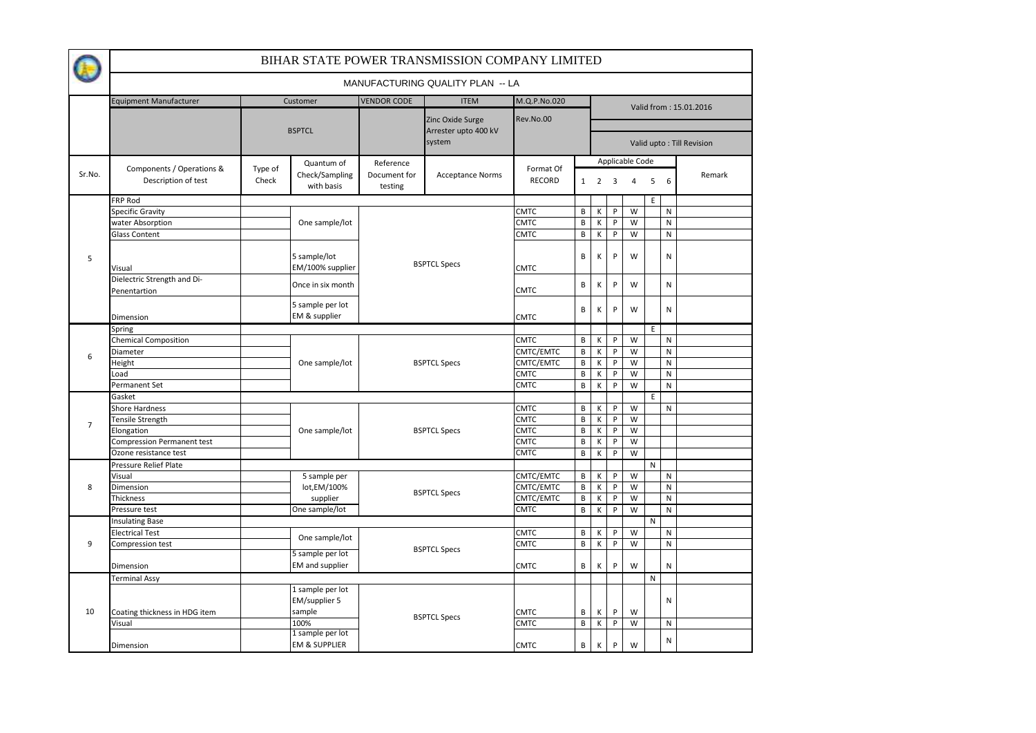|                |                                                  |                  |                                              |                         | BIHAR STATE POWER TRANSMISSION COMPANY LIMITED |                     |   |                         |                |                 |   |   |                           |  |
|----------------|--------------------------------------------------|------------------|----------------------------------------------|-------------------------|------------------------------------------------|---------------------|---|-------------------------|----------------|-----------------|---|---|---------------------------|--|
|                |                                                  |                  |                                              |                         | MANUFACTURING QUALITY PLAN -- LA               |                     |   |                         |                |                 |   |   |                           |  |
|                | <b>Equipment Manufacturer</b>                    |                  | Customer                                     | <b>VENDOR CODE</b>      | <b>ITEM</b>                                    | M.Q.P.No.020        |   |                         |                |                 |   |   |                           |  |
|                |                                                  |                  | <b>BSPTCL</b>                                | Zinc Oxide Surge        |                                                | Rev.No.00           |   | Valid from: 15.01.2016  |                |                 |   |   |                           |  |
|                |                                                  |                  |                                              |                         | Arrester upto 400 kV<br>system                 |                     |   |                         |                |                 |   |   | Valid upto: Till Revision |  |
|                |                                                  |                  | Quantum of                                   | Reference               |                                                |                     |   |                         |                | Applicable Code |   |   |                           |  |
| Sr.No.         | Components / Operations &<br>Description of test | Type of<br>Check | Check/Sampling<br>with basis                 | Document for<br>testing | <b>Acceptance Norms</b>                        | Format Of<br>RECORD |   | $1\quad 2$              | $\overline{3}$ | 4               | 5 | 6 | Remark                    |  |
|                | FRP Rod                                          |                  |                                              |                         |                                                |                     |   |                         |                |                 | E |   |                           |  |
|                | <b>Specific Gravity</b>                          |                  |                                              |                         | <b>CMTC</b>                                    | B                   | Κ | P                       | W              |                 | N |   |                           |  |
|                | water Absorption                                 |                  | One sample/lot                               |                         | <b>CMTC</b>                                    |                     | B | К                       | P              | W               |   | N |                           |  |
|                | <b>Glass Content</b>                             |                  |                                              |                         |                                                | <b>CMTC</b>         | B | К                       | $\sf P$        | W               |   | N |                           |  |
| 5              | Visual                                           |                  | 5 sample/lot<br>EM/100% supplier             | <b>BSPTCL Specs</b>     | <b>CMTC</b>                                    | B                   | Κ | P                       | W              |                 | N |   |                           |  |
|                | Dielectric Strength and Di-<br>Penentartion      |                  | Once in six month                            |                         | <b>CMTC</b>                                    | B                   | К | P                       | W              |                 | N |   |                           |  |
|                | Dimension                                        |                  | 5 sample per lot<br>EM & supplier            |                         |                                                | <b>CMTC</b>         | B | К                       | P              | W               |   | N |                           |  |
|                | Spring                                           |                  |                                              |                         |                                                |                     |   |                         |                |                 | E |   |                           |  |
|                | <b>Chemical Composition</b>                      |                  |                                              |                         |                                                | <b>CMTC</b>         | В | К                       | P              | W               |   | Ν |                           |  |
|                | Diameter                                         |                  |                                              |                         |                                                | CMTC/EMTC           | B | К                       | P              | W               |   | N |                           |  |
| 6              | Height                                           |                  | One sample/lot                               |                         | <b>BSPTCL Specs</b>                            | CMTC/EMTC           | B | К                       | P              | W               |   | N |                           |  |
|                | Load                                             |                  |                                              |                         |                                                | <b>CMTC</b>         | B | К                       | P              | W               |   | N |                           |  |
|                | Permanent Set                                    |                  |                                              |                         |                                                | CMTC                | B | К                       | P              | W               |   | N |                           |  |
|                | Gasket                                           |                  |                                              |                         |                                                |                     |   |                         |                |                 | E |   |                           |  |
|                | Shore Hardness                                   |                  |                                              |                         | <b>CMTC</b>                                    | B                   | К | P                       | W              |                 | N |   |                           |  |
|                | Tensile Strength                                 |                  |                                              |                         |                                                | <b>CMTC</b>         | B | К                       | P              | W               |   |   |                           |  |
| $\overline{7}$ | Elongation                                       |                  | One sample/lot                               | <b>BSPTCL Specs</b>     | CMTC                                           | B                   | K | P                       | W              |                 |   |   |                           |  |
|                | <b>Compression Permanent test</b>                |                  |                                              |                         |                                                | <b>CMTC</b>         | B | К                       | P              | W               |   |   |                           |  |
|                | Ozone resistance test                            |                  |                                              |                         | <b>CMTC</b>                                    | B                   | К | P                       | W              |                 |   |   |                           |  |
|                | Pressure Relief Plate                            |                  |                                              |                         |                                                |                     |   |                         |                |                 | N |   |                           |  |
|                | Visual                                           |                  | 5 sample per                                 |                         |                                                | CMTC/EMTC           | В | К                       | P              | W               |   | N |                           |  |
| 8              | Dimension                                        |                  | lot, EM/100%                                 |                         | <b>BSPTCL Specs</b>                            | CMTC/EMTC           | B | К                       | P              | W               |   | N |                           |  |
|                | Thickness                                        |                  | supplier                                     |                         |                                                | CMTC/EMTC           | B | Κ                       | P              | W               |   | N |                           |  |
|                | Pressure test                                    |                  | One sample/lot                               |                         |                                                | <b>CMTC</b>         | B | К                       | P              | W               |   | N |                           |  |
|                | <b>Insulating Base</b>                           |                  |                                              |                         |                                                |                     |   |                         |                |                 | N |   |                           |  |
|                | <b>Electrical Test</b>                           |                  | One sample/lot                               |                         |                                                | CMTC                | B | К                       | P              | W               |   | N |                           |  |
| 9              | Compression test                                 |                  |                                              |                         | <b>BSPTCL Specs</b>                            | <b>CMTC</b>         | B | $\overline{\mathsf{K}}$ | P              | W               |   | N |                           |  |
|                |                                                  |                  | 5 sample per lot                             |                         |                                                |                     |   |                         |                |                 |   |   |                           |  |
|                | Dimension                                        |                  | EM and supplier                              |                         |                                                | <b>CMTC</b>         | В | К                       | P              | W               |   | N |                           |  |
|                | <b>Terminal Assy</b>                             |                  |                                              |                         |                                                |                     |   |                         |                |                 | N |   |                           |  |
|                |                                                  |                  | 1 sample per lot<br>EM/supplier 5            |                         |                                                |                     |   |                         |                |                 |   | Ν |                           |  |
| 10             | Coating thickness in HDG item                    |                  | sample                                       |                         | <b>BSPTCL Specs</b>                            | <b>CMTC</b>         | В | К                       | P              | W               |   |   |                           |  |
|                | Visual                                           |                  | 100%                                         |                         |                                                | <b>CMTC</b>         | B | Κ                       | ${\sf P}$      | W               |   | N |                           |  |
|                | Dimension                                        |                  | 1 sample per lot<br><b>EM &amp; SUPPLIER</b> |                         |                                                | <b>CMTC</b>         | B | К                       | P              | W               |   | N |                           |  |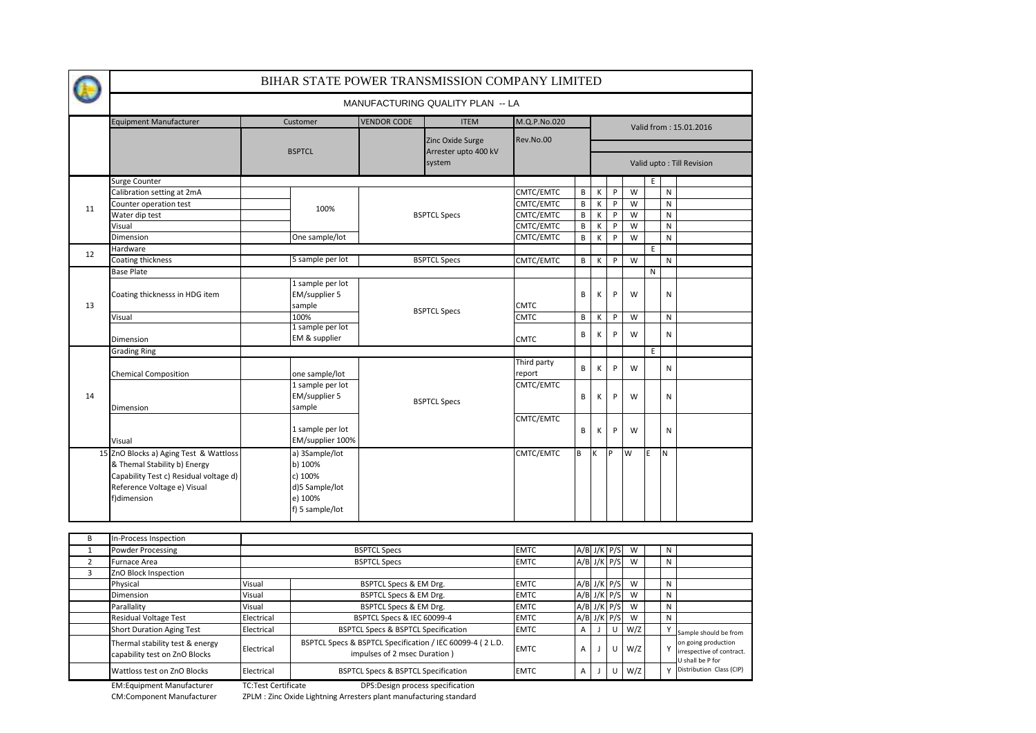|                | BIHAR STATE POWER TRANSMISSION COMPANY LIMITED                                                                                                                 |            |                                                                                      |                                                |                                                           |              |                         |                        |         |     |              |              |                                                                                               |  |  |  |
|----------------|----------------------------------------------------------------------------------------------------------------------------------------------------------------|------------|--------------------------------------------------------------------------------------|------------------------------------------------|-----------------------------------------------------------|--------------|-------------------------|------------------------|---------|-----|--------------|--------------|-----------------------------------------------------------------------------------------------|--|--|--|
|                |                                                                                                                                                                |            |                                                                                      |                                                | MANUFACTURING QUALITY PLAN -- LA                          |              |                         |                        |         |     |              |              |                                                                                               |  |  |  |
|                | Equipment Manufacturer                                                                                                                                         | Customer   |                                                                                      | <b>VENDOR CODE</b>                             | <b>ITEM</b>                                               | M.Q.P.No.020 |                         | Valid from: 15.01.2016 |         |     |              |              |                                                                                               |  |  |  |
|                |                                                                                                                                                                |            | <b>BSPTCL</b>                                                                        |                                                | Zinc Oxide Surge<br>Arrester upto 400 kV<br>system        | Rev.No.00    |                         |                        |         |     |              |              | Valid upto: Till Revision                                                                     |  |  |  |
|                | Surge Counter                                                                                                                                                  |            |                                                                                      |                                                |                                                           |              |                         |                        |         |     | E            |              |                                                                                               |  |  |  |
|                | Calibration setting at 2mA                                                                                                                                     |            |                                                                                      |                                                |                                                           | CMTC/EMTC    | В                       | К                      | P       | W   |              | ${\sf N}$    |                                                                                               |  |  |  |
|                | Counter operation test                                                                                                                                         |            |                                                                                      |                                                |                                                           | CMTC/EMTC    | B                       | К                      | P       | W   |              | ${\sf N}$    |                                                                                               |  |  |  |
| 11             | Water dip test                                                                                                                                                 |            | 100%                                                                                 |                                                | <b>BSPTCL Specs</b>                                       | CMTC/EMTC    | B                       | К                      | P       | W   |              | ${\sf N}$    |                                                                                               |  |  |  |
|                | Visual                                                                                                                                                         |            |                                                                                      |                                                |                                                           | CMTC/EMTC    | $\overline{\mathsf{B}}$ | К                      | $\sf P$ | W   |              | ${\sf N}$    |                                                                                               |  |  |  |
|                | Dimension                                                                                                                                                      |            | One sample/lot                                                                       |                                                |                                                           | CMTC/EMTC    | B                       | К                      | P       | W   |              | N            |                                                                                               |  |  |  |
|                | Hardware                                                                                                                                                       |            |                                                                                      |                                                |                                                           |              |                         |                        |         |     | E            |              |                                                                                               |  |  |  |
| 12             | Coating thickness                                                                                                                                              |            | 5 sample per lot                                                                     |                                                | <b>BSPTCL Specs</b>                                       | CMTC/EMTC    | B                       | K                      | P       | W   |              | ${\sf N}$    |                                                                                               |  |  |  |
|                | <b>Base Plate</b>                                                                                                                                              |            |                                                                                      |                                                |                                                           |              |                         |                        |         |     | N            |              |                                                                                               |  |  |  |
| 13             | Coating thicknesss in HDG item                                                                                                                                 |            | 1 sample per lot<br>EM/supplier 5<br>sample                                          |                                                |                                                           | <b>CMTC</b>  | B                       | К                      | P       | W   |              | N            |                                                                                               |  |  |  |
|                | Visual                                                                                                                                                         |            | 100%                                                                                 |                                                | <b>BSPTCL Specs</b>                                       | <b>CMTC</b>  | B                       | К                      | P       | W   |              | N            |                                                                                               |  |  |  |
|                | Dimension                                                                                                                                                      |            | 1 sample per lot<br>EM & supplier                                                    |                                                |                                                           | <b>CMTC</b>  | B                       | К                      | P       | W   |              | $\mathsf{N}$ |                                                                                               |  |  |  |
|                | <b>Grading Ring</b>                                                                                                                                            |            |                                                                                      |                                                |                                                           |              |                         |                        |         |     | E            |              |                                                                                               |  |  |  |
|                | <b>Chemical Composition</b>                                                                                                                                    |            | one sample/lot                                                                       |                                                | Third party<br>report                                     | B            | К                       | P                      | W       |     | ${\sf N}$    |              |                                                                                               |  |  |  |
| 14             | Dimension                                                                                                                                                      |            | 1 sample per lot<br>EM/supplier 5<br>sample                                          | <b>BSPTCL Specs</b>                            | CMTC/EMTC                                                 | B            | K                       | P                      | W       |     | $\mathsf{N}$ |              |                                                                                               |  |  |  |
|                | Visual                                                                                                                                                         |            | 1 sample per lot<br>EM/supplier 100%                                                 |                                                | CMTC/EMTC                                                 | B            | К                       | P                      | W       |     | N            |              |                                                                                               |  |  |  |
|                | 15 ZnO Blocks a) Aging Test & Wattloss<br>& Themal Stability b) Energy<br>Capability Test c) Residual voltage d)<br>Reference Voltage e) Visual<br>f)dimension |            | a) 3Sample/lot<br>b) 100%<br>c) 100%<br>d)5 Sample/lot<br>e) 100%<br>f) 5 sample/lot |                                                |                                                           | CMTC/EMTC    | B                       | K                      | P       | W   | E            | <b>N</b>     |                                                                                               |  |  |  |
| B              | In-Process Inspection                                                                                                                                          |            |                                                                                      |                                                |                                                           |              |                         |                        |         |     |              |              |                                                                                               |  |  |  |
| 1              | <b>Powder Processing</b>                                                                                                                                       |            |                                                                                      | <b>BSPTCL Specs</b>                            |                                                           | <b>EMTC</b>  |                         | $A/B$ J/K              | P/S     | W   |              | N            |                                                                                               |  |  |  |
| $\overline{2}$ | Furnace Area                                                                                                                                                   |            |                                                                                      | <b>BSPTCL Specs</b>                            |                                                           | <b>EMTC</b>  |                         | $A/B$ J/K              | P/S     | W   |              | N            |                                                                                               |  |  |  |
| 3              | ZnO Block Inspection                                                                                                                                           |            |                                                                                      |                                                |                                                           |              |                         |                        |         |     |              |              |                                                                                               |  |  |  |
|                | Physical                                                                                                                                                       | Visual     |                                                                                      | BSPTCL Specs & EM Drg.                         |                                                           | <b>EMTC</b>  |                         | $A/B$ J/K              | P/S     | W   |              | $\mathsf{N}$ |                                                                                               |  |  |  |
|                | Dimension                                                                                                                                                      | Visual     |                                                                                      | BSPTCL Specs & EM Drg.                         |                                                           | <b>EMTC</b>  |                         | $A/B$ J/K              | P/S     | W   |              | $\mathsf{N}$ |                                                                                               |  |  |  |
|                | Parallality                                                                                                                                                    | Visual     |                                                                                      | BSPTCL Specs & EM Drg.                         |                                                           | <b>EMTC</b>  |                         | $A/B$ J/K              | P/S     | W   |              | N            |                                                                                               |  |  |  |
|                | <b>Residual Voltage Test</b>                                                                                                                                   | Electrical |                                                                                      | BSPTCL Specs & IEC 60099-4                     |                                                           | <b>EMTC</b>  |                         | $A/B$ J/K              | P/S     | W   |              | N            |                                                                                               |  |  |  |
|                | <b>Short Duration Aging Test</b>                                                                                                                               | Electrical |                                                                                      | <b>BSPTCL Specs &amp; BSPTCL Specification</b> |                                                           | <b>EMTC</b>  | A                       | $\mathsf J$            | U       | W/Z |              | Υ            |                                                                                               |  |  |  |
|                | Thermal stability test & energy<br>capability test on ZnO Blocks                                                                                               | Electrical |                                                                                      | impulses of 2 msec Duration)                   | BSPTCL Specs & BSPTCL Specification / IEC 60099-4 (2 L.D. | <b>EMTC</b>  | A                       | $\mathsf{I}$           | U       | W/Z |              | Υ            | Sample should be from<br>on going production<br>irrespective of contract.<br>U shall be P for |  |  |  |

Distribution Class (CIP)

EM:Equipment Manufacturer TC:Test Certificate

CM:Component Manufacturer ZPLM : Zinc Oxide Lightning Arresters plant manufacturing standard

Wattloss test on ZnO Blocks |Electrical | BSPTCL Specs & BSPTCL Specification |EMTC | A | J | U | W/Z | | Y

DPS:Design process specification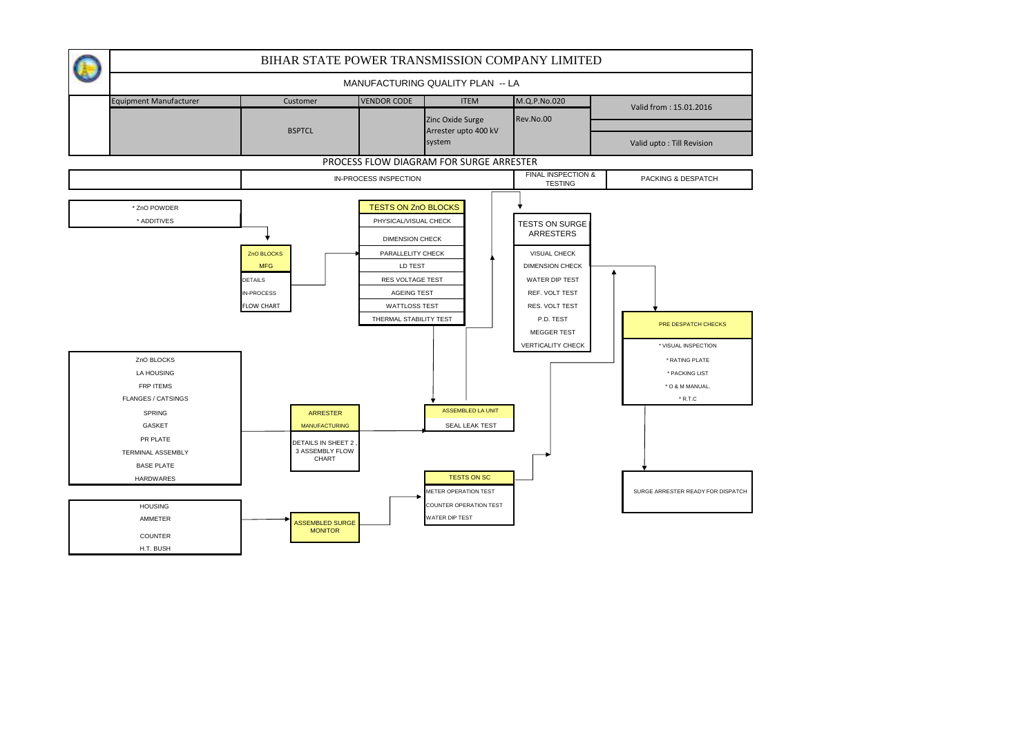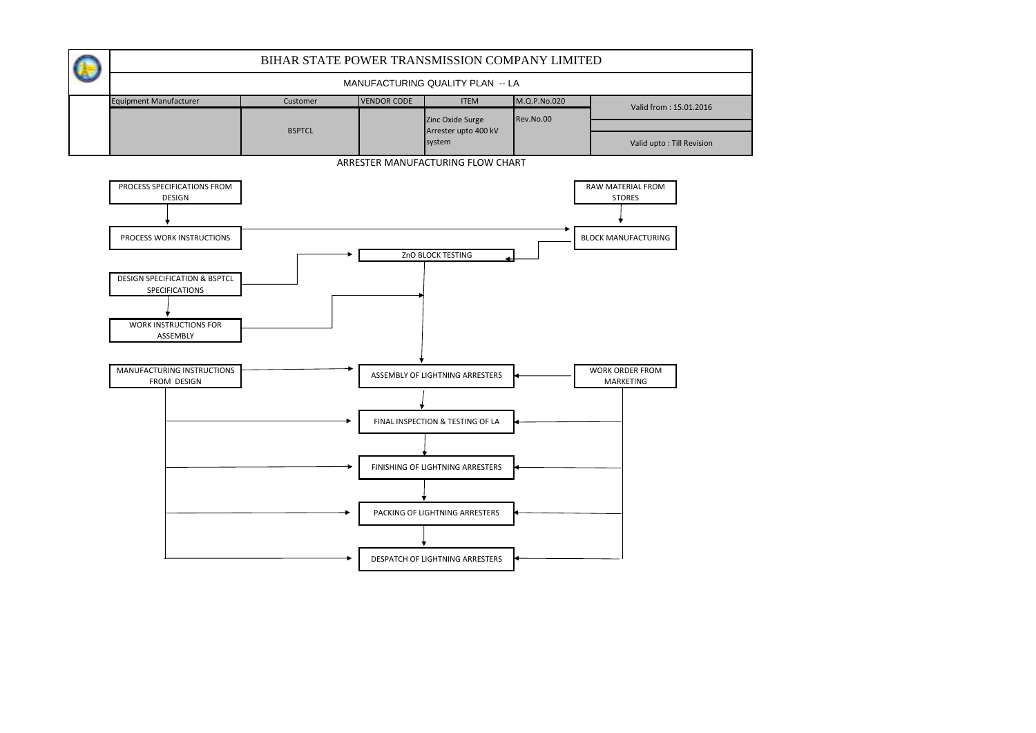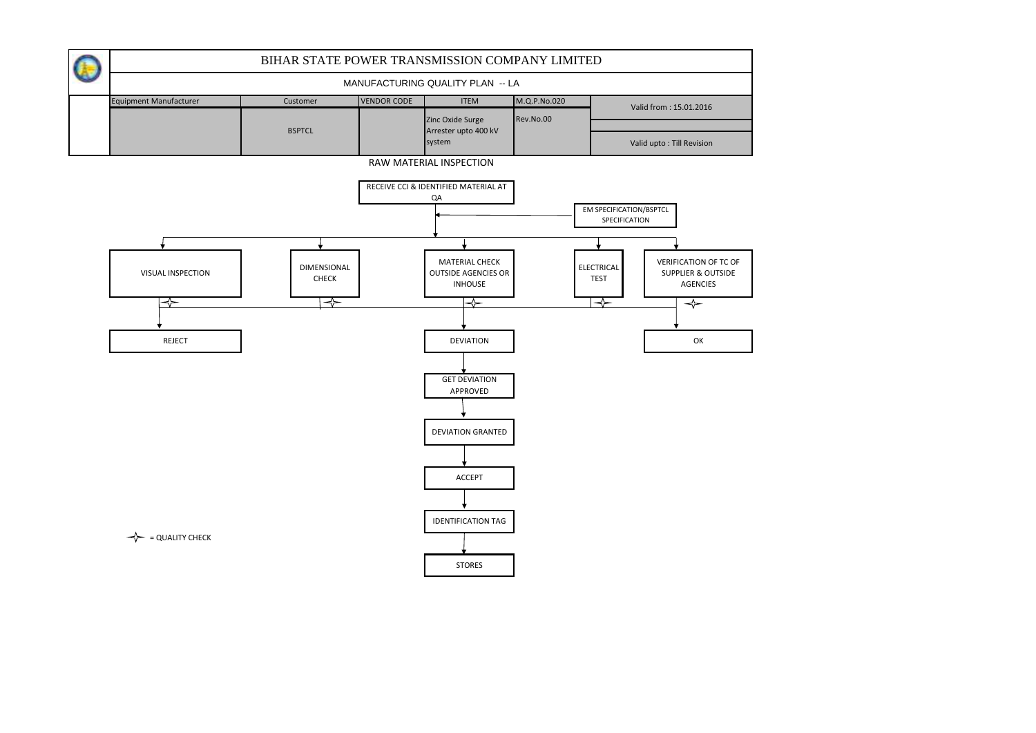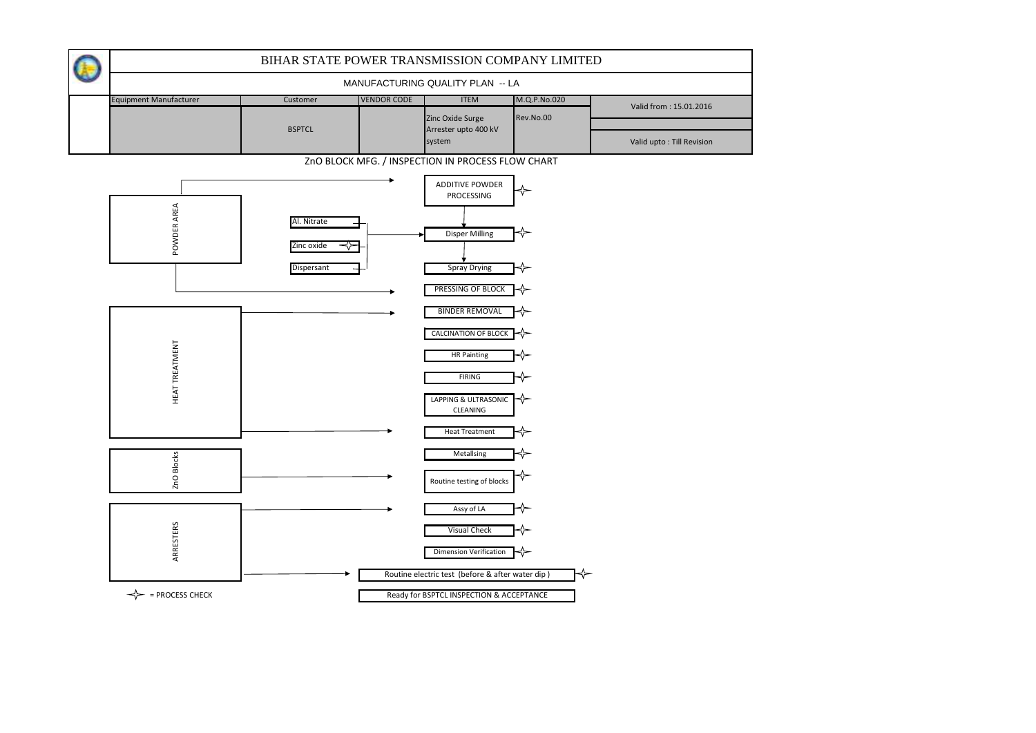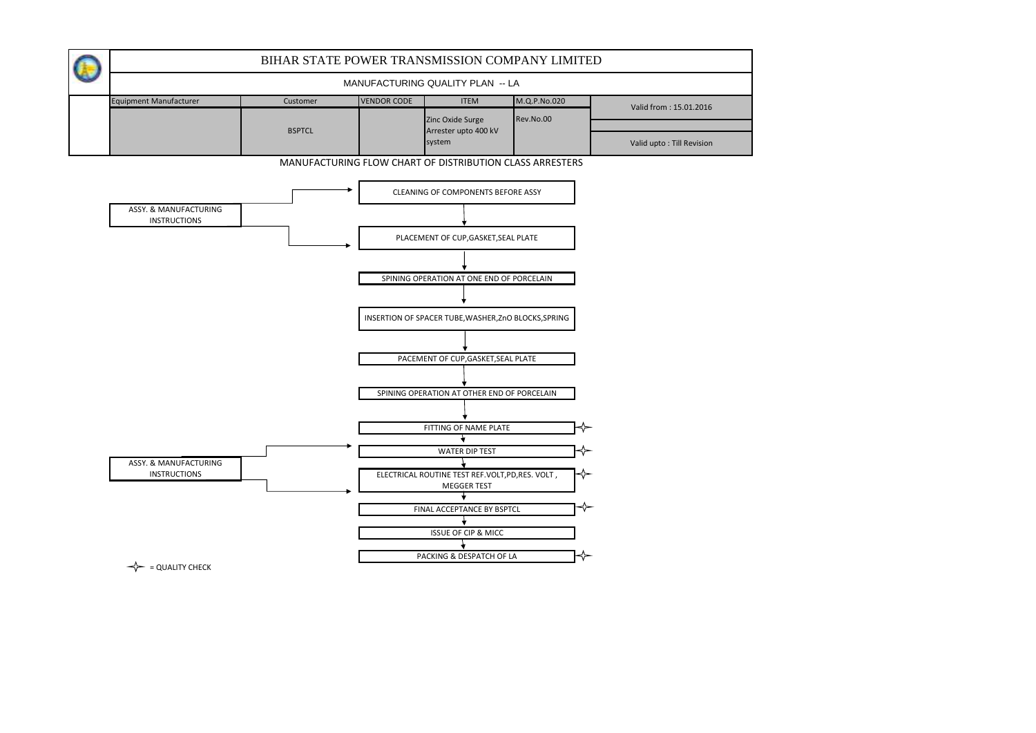

 $\leftarrow$  = QUALITY CHECK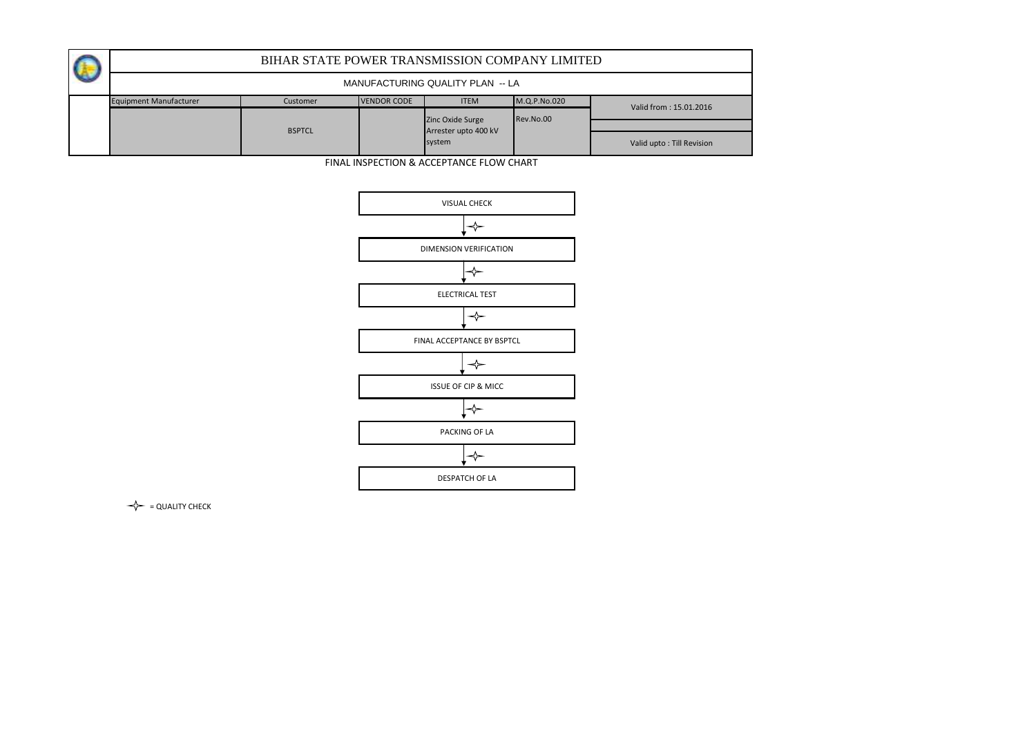|                               | BIHAR STATE POWER TRANSMISSION COMPANY LIMITED |                    |                                          |              |                           |  |  |  |  |  |  |  |  |
|-------------------------------|------------------------------------------------|--------------------|------------------------------------------|--------------|---------------------------|--|--|--|--|--|--|--|--|
|                               | MANUFACTURING QUALITY PLAN -- LA               |                    |                                          |              |                           |  |  |  |  |  |  |  |  |
| <b>Equipment Manufacturer</b> | Customer                                       | <b>VENDOR CODE</b> |                                          | M.Q.P.No.020 | Valid from: 15.01.2016    |  |  |  |  |  |  |  |  |
|                               |                                                |                    |                                          | Rev.No.00    |                           |  |  |  |  |  |  |  |  |
|                               | <b>BSPTCL</b>                                  |                    | Zinc Oxide Surge<br>Arrester upto 400 kV |              |                           |  |  |  |  |  |  |  |  |
|                               |                                                |                    | system                                   |              | Valid upto: Till Revision |  |  |  |  |  |  |  |  |

FINAL INSPECTION & ACCEPTANCE FLOW CHART



 $\leftarrow$  = QUALITY CHECK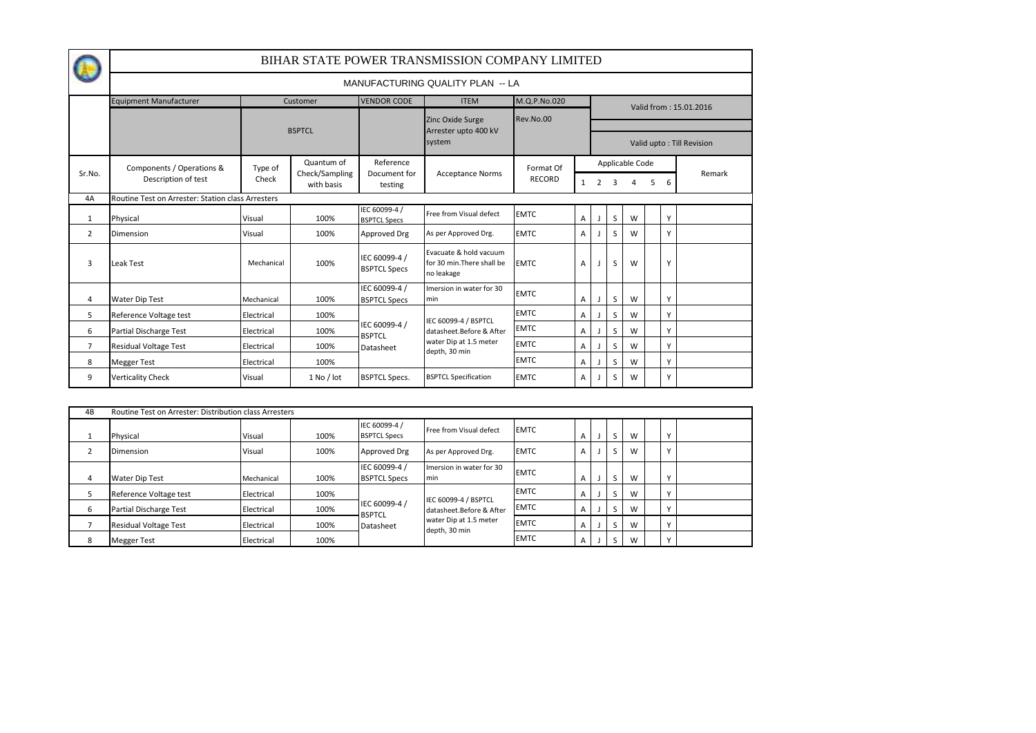|                |                                                   | BIHAR STATE POWER TRANSMISSION COMPANY LIMITED |                                         |                                      |                                                                    |               |                |                |                 |   |                           |   |                        |  |
|----------------|---------------------------------------------------|------------------------------------------------|-----------------------------------------|--------------------------------------|--------------------------------------------------------------------|---------------|----------------|----------------|-----------------|---|---------------------------|---|------------------------|--|
|                |                                                   |                                                |                                         |                                      | MANUFACTURING QUALITY PLAN -- LA                                   |               |                |                |                 |   |                           |   |                        |  |
|                | <b>Equipment Manufacturer</b>                     |                                                | Customer                                | <b>VENDOR CODE</b>                   | <b>ITEM</b>                                                        | M.Q.P.No.020  |                |                |                 |   |                           |   | Valid from: 15.01.2016 |  |
|                |                                                   |                                                |                                         |                                      | Zinc Oxide Surge                                                   | Rev.No.00     |                |                |                 |   |                           |   |                        |  |
|                |                                                   |                                                | <b>BSPTCL</b>                           |                                      | Arrester upto 400 kV<br>system                                     |               |                |                |                 |   | Valid upto: Till Revision |   |                        |  |
|                | Components / Operations &                         | Type of                                        | Quantum of                              | Reference                            |                                                                    | Format Of     |                |                | Applicable Code |   |                           |   |                        |  |
| Sr.No.         | Description of test                               | Check                                          | Check/Sampling<br>with basis<br>testing | Document for                         | <b>Acceptance Norms</b>                                            | <b>RECORD</b> | $\mathbf{1}$   | $\overline{2}$ |                 |   | 5                         | 6 | Remark                 |  |
| 4A             | Routine Test on Arrester: Station class Arresters |                                                |                                         |                                      |                                                                    |               |                |                |                 |   |                           |   |                        |  |
| 1              | Physical                                          | Visual                                         | 100%                                    | IEC 60099-4 /<br><b>BSPTCL Specs</b> | Free from Visual defect                                            | <b>EMTC</b>   | A              |                | S               | W |                           | Y |                        |  |
| 2              | Dimension                                         | Visual                                         | 100%                                    | Approved Drg                         | As per Approved Drg.                                               | <b>EMTC</b>   | A              |                | S               | W |                           | Y |                        |  |
| 3              | <b>Leak Test</b>                                  | Mechanical                                     | 100%                                    | IEC 60099-4 /<br><b>BSPTCL Specs</b> | Evacuate & hold vacuum<br>for 30 min. There shall be<br>no leakage | <b>EMTC</b>   | A              |                | S               | W |                           | Y |                        |  |
| 4              | <b>Water Dip Test</b>                             | Mechanical                                     | 100%                                    | IEC 60099-4 /<br><b>BSPTCL Specs</b> | Imersion in water for 30<br>min                                    | <b>EMTC</b>   | A              |                | S               | W |                           | Y |                        |  |
| 5              | Reference Voltage test                            | Electrical                                     | 100%                                    |                                      | IEC 60099-4 / BSPTCL                                               | <b>EMTC</b>   | $\overline{A}$ |                | S               | W |                           | Y |                        |  |
| 6              | Partial Discharge Test                            | Electrical                                     | 100%                                    | IEC 60099-4 /<br><b>BSPTCL</b>       | datasheet.Before & After                                           | <b>EMTC</b>   | A              |                | S               | W |                           | Y |                        |  |
| $\overline{7}$ | Residual Voltage Test                             | Electrical                                     | 100%                                    | Datasheet                            | water Dip at 1.5 meter                                             | <b>EMTC</b>   | A              |                | S               | W |                           | Y |                        |  |
| 8              | <b>Megger Test</b>                                | Electrical                                     | 100%                                    |                                      | depth, 30 min                                                      | <b>EMTC</b>   | A              |                | S               | W |                           | Υ |                        |  |
| 9              | <b>Verticality Check</b>                          | Visual                                         | $1$ No / lot                            | <b>BSPTCL Specs.</b>                 | <b>BSPTCL Specification</b>                                        | <b>EMTC</b>   | A              |                | S               | W |                           | Y |                        |  |

| 4B | Routine Test on Arrester: Distribution class Arresters |            |      |                                      |                                                  |             |   |  |   |   |  |              |  |
|----|--------------------------------------------------------|------------|------|--------------------------------------|--------------------------------------------------|-------------|---|--|---|---|--|--------------|--|
|    | Physical                                               | Visual     | 100% | IEC 60099-4 /<br><b>BSPTCL Specs</b> | Free from Visual defect                          | <b>EMTC</b> | A |  |   | w |  | $\sqrt{ }$   |  |
|    | <b>Dimension</b>                                       | Visual     | 100% | Approved Drg                         | As per Approved Drg.                             | <b>EMTC</b> | A |  | 5 | W |  | $\mathbf v$  |  |
|    | <b>Water Dip Test</b>                                  | Mechanical | 100% | IEC 60099-4 /<br><b>BSPTCL Specs</b> | Imersion in water for 30<br>min                  | <b>EMTC</b> | A |  |   | w |  | $\sqrt{ }$   |  |
|    | Reference Voltage test                                 | Electrical | 100% |                                      |                                                  | <b>EMTC</b> | A |  |   | W |  | $\sqrt{ }$   |  |
| 6  | Partial Discharge Test                                 | Electrical | 100% | IEC 60099-4 /<br><b>BSPTCL</b>       | IEC 60099-4 / BSPTCL<br>datasheet.Before & After | <b>EMTC</b> | A |  |   | W |  | $\sqrt{ }$   |  |
|    | <b>Residual Voltage Test</b>                           | Electrical | 100% | Datasheet                            | water Dip at 1.5 meter<br>depth, 30 min          | <b>EMTC</b> | A |  |   | W |  | $\sqrt{ }$   |  |
|    | <b>Megger Test</b>                                     | Electrical | 100% |                                      |                                                  | <b>EMTC</b> | A |  |   | W |  | $\mathbf{v}$ |  |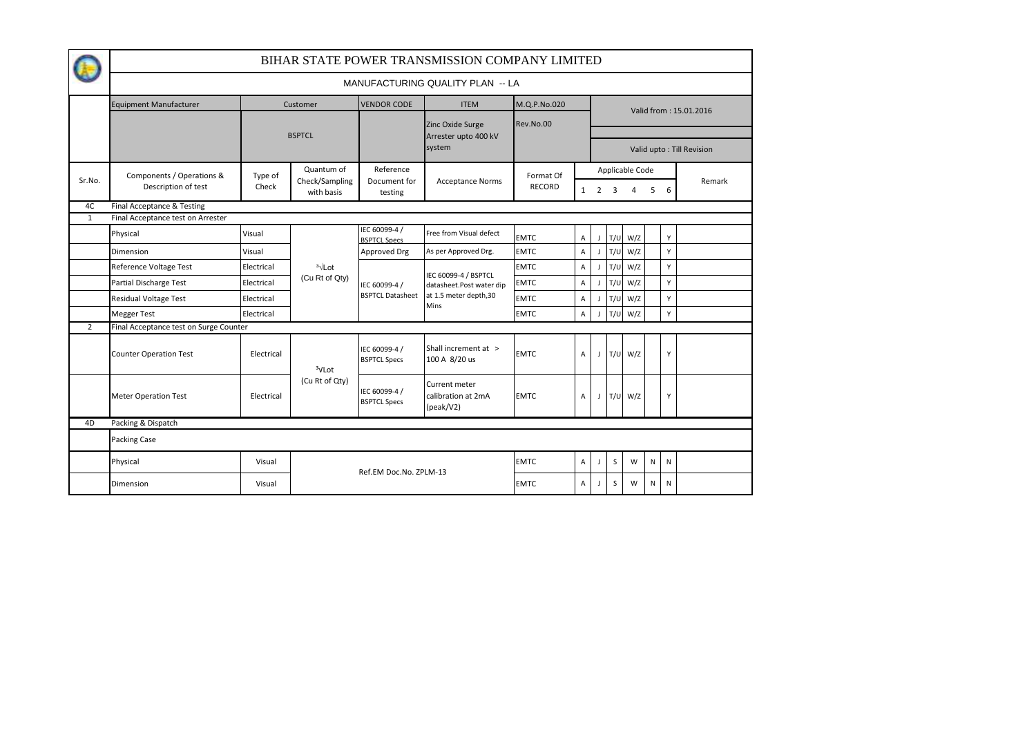|                |                                                                 | BIHAR STATE POWER TRANSMISSION COMPANY LIMITED |                                |                                          |                                                                                           |               |                           |                          |                           |             |           |           |        |  |  |
|----------------|-----------------------------------------------------------------|------------------------------------------------|--------------------------------|------------------------------------------|-------------------------------------------------------------------------------------------|---------------|---------------------------|--------------------------|---------------------------|-------------|-----------|-----------|--------|--|--|
|                |                                                                 | MANUFACTURING QUALITY PLAN -- LA               |                                |                                          |                                                                                           |               |                           |                          |                           |             |           |           |        |  |  |
|                | <b>Equipment Manufacturer</b>                                   |                                                | <b>VENDOR CODE</b><br>Customer |                                          | <b>ITEM</b>                                                                               | M.Q.P.No.020  |                           |                          | Valid from: 15.01.2016    |             |           |           |        |  |  |
|                |                                                                 |                                                |                                |                                          | Zinc Oxide Surge                                                                          | Rev.No.00     |                           |                          |                           |             |           |           |        |  |  |
|                |                                                                 |                                                | <b>BSPTCL</b>                  |                                          | Arrester upto 400 kV<br>system                                                            |               |                           |                          | Valid upto: Till Revision |             |           |           |        |  |  |
| Sr.No.         | Components / Operations &<br>Description of test                | Type of                                        | Quantum of                     | Reference<br>Document for                | <b>Acceptance Norms</b>                                                                   | Format Of     |                           |                          | Applicable Code           |             |           |           | Remark |  |  |
|                |                                                                 | Check                                          | Check/Sampling<br>with basis   | testing                                  |                                                                                           | <b>RECORD</b> |                           | $1\quad 2$               | 3                         | 4           | 5         | 6         |        |  |  |
| 4C<br>1        | Final Acceptance & Testing<br>Final Acceptance test on Arrester |                                                |                                |                                          |                                                                                           |               |                           |                          |                           |             |           |           |        |  |  |
|                | Physical                                                        | Visual                                         |                                | IEC 60099-4 /<br><b>BSPTCL Specs</b>     | Free from Visual defect                                                                   | <b>EMTC</b>   | $\mathsf{A}$              | $\overline{1}$           | T/U                       | W/Z         |           | Y         |        |  |  |
|                | Dimension                                                       | Visual                                         |                                | Approved Drg                             | As per Approved Drg.                                                                      | <b>EMTC</b>   | Α                         | $\overline{\phantom{a}}$ | T/U                       | W/Z         |           | Y         |        |  |  |
|                | Reference Voltage Test                                          | Electrical                                     | $3\sqrt{2}$<br>(Cu Rt of Qty)  | IEC 60099-4 /<br><b>BSPTCL Datasheet</b> | IEC 60099-4 / BSPTCL<br>datasheet.Post water dip<br>at 1.5 meter depth, 30<br><b>Mins</b> | <b>EMTC</b>   | Α                         |                          | T/U                       | W/Z         |           | Y         |        |  |  |
|                | Partial Discharge Test                                          | Electrical                                     |                                |                                          |                                                                                           | <b>EMTC</b>   | $\mathsf{A}$              |                          | T/U                       | W/Z         |           | Y         |        |  |  |
|                | <b>Residual Voltage Test</b>                                    | Electrical                                     |                                |                                          |                                                                                           | <b>EMTC</b>   | $\boldsymbol{\mathsf{A}}$ |                          | T/U                       | W/Z         |           | Y         |        |  |  |
|                | <b>Megger Test</b>                                              | Electrical                                     |                                |                                          |                                                                                           | <b>EMTC</b>   | A                         |                          | T/U                       | W/Z         |           | Y         |        |  |  |
| $\overline{2}$ | Final Acceptance test on Surge Counter                          |                                                |                                |                                          |                                                                                           |               |                           |                          |                           |             |           |           |        |  |  |
|                | <b>Counter Operation Test</b>                                   | Electrical                                     | <sup>3</sup> VLot              | IEC 60099-4 /<br><b>BSPTCL Specs</b>     | Shall increment at ><br>100 A 8/20 us                                                     | <b>EMTC</b>   | $\mathsf{A}$              |                          |                           | $J$ T/U W/Z |           | Y         |        |  |  |
|                | <b>Meter Operation Test</b>                                     | Electrical                                     | (Cu Rt of Qty)                 | IEC 60099-4 /<br><b>BSPTCL Specs</b>     | Current meter<br>calibration at 2mA<br>(peak/V2)                                          | <b>EMTC</b>   | $\overline{A}$            |                          |                           | J T/U W/Z   |           | Y         |        |  |  |
| 4D             | Packing & Dispatch                                              |                                                |                                |                                          |                                                                                           |               |                           |                          |                           |             |           |           |        |  |  |
|                | Packing Case                                                    |                                                |                                |                                          |                                                                                           |               |                           |                          |                           |             |           |           |        |  |  |
|                | Physical                                                        | Visual                                         |                                | Ref.EM Doc.No. ZPLM-13                   |                                                                                           | <b>EMTC</b>   | Α                         |                          | S                         | W           | N         | ${\sf N}$ |        |  |  |
|                | Dimension                                                       | Visual                                         |                                |                                          |                                                                                           | <b>EMTC</b>   | A                         |                          | S                         | W           | ${\sf N}$ | N         |        |  |  |